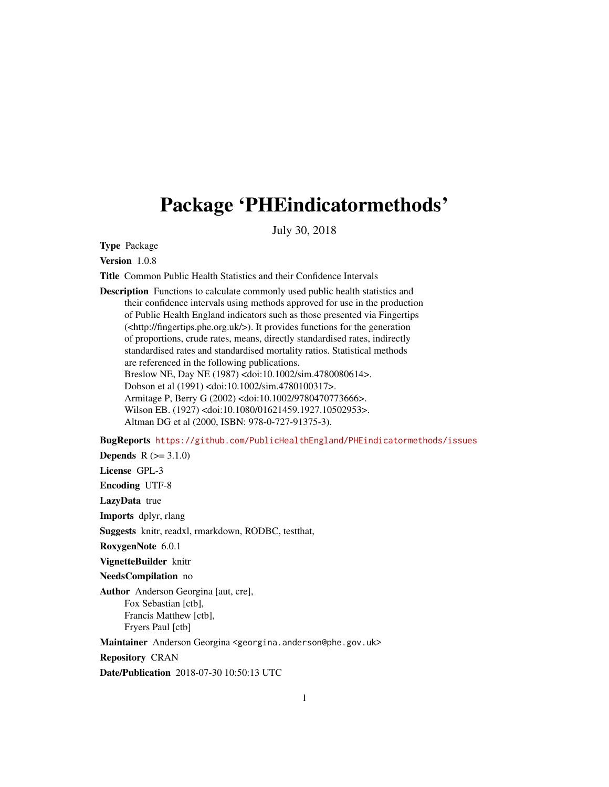# Package 'PHEindicatormethods'

July 30, 2018

Type Package

Version 1.0.8

Title Common Public Health Statistics and their Confidence Intervals

Description Functions to calculate commonly used public health statistics and their confidence intervals using methods approved for use in the production of Public Health England indicators such as those presented via Fingertips (<http://fingertips.phe.org.uk/>). It provides functions for the generation of proportions, crude rates, means, directly standardised rates, indirectly standardised rates and standardised mortality ratios. Statistical methods are referenced in the following publications. Breslow NE, Day NE (1987) <doi:10.1002/sim.4780080614>. Dobson et al (1991) <doi:10.1002/sim.4780100317>. Armitage P, Berry G (2002) <doi:10.1002/9780470773666>. Wilson EB. (1927) <doi:10.1080/01621459.1927.10502953>. Altman DG et al (2000, ISBN: 978-0-727-91375-3).

BugReports <https://github.com/PublicHealthEngland/PHEindicatormethods/issues>

**Depends**  $R (=3.1.0)$ 

License GPL-3

Encoding UTF-8

LazyData true

Imports dplyr, rlang

Suggests knitr, readxl, rmarkdown, RODBC, testthat,

RoxygenNote 6.0.1

VignetteBuilder knitr

NeedsCompilation no

Author Anderson Georgina [aut, cre], Fox Sebastian [ctb], Francis Matthew [ctb], Fryers Paul [ctb]

Maintainer Anderson Georgina <georgina.anderson@phe.gov.uk>

Repository CRAN

Date/Publication 2018-07-30 10:50:13 UTC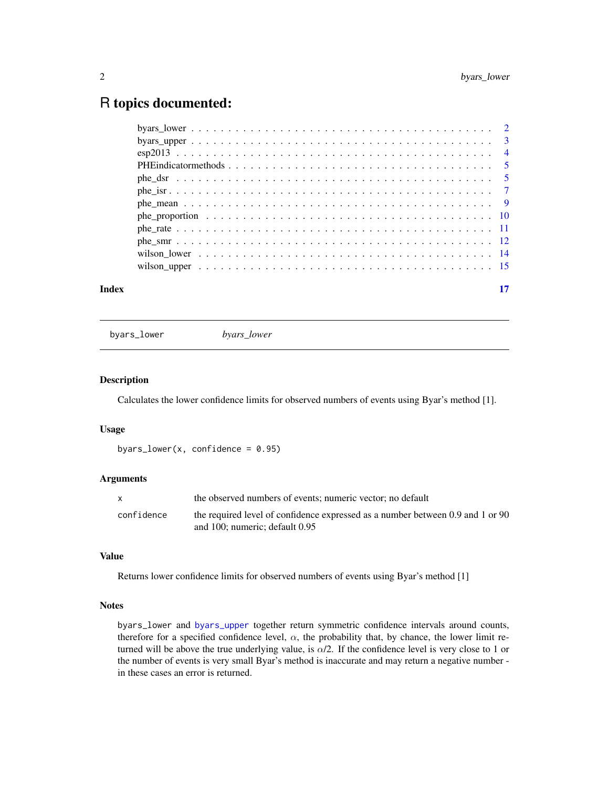# <span id="page-1-0"></span>R topics documented:

| Index | 17 |
|-------|----|
|       |    |
|       |    |
|       |    |
|       |    |
|       |    |
|       |    |
|       |    |
|       |    |
|       |    |
|       |    |
|       |    |
|       |    |

<span id="page-1-1"></span>byars\_lower *byars\_lower*

#### Description

Calculates the lower confidence limits for observed numbers of events using Byar's method [1].

#### Usage

```
byars_lower(x, confidence = 0.95)
```
# Arguments

|            | the observed numbers of events; numeric vector; no default                     |
|------------|--------------------------------------------------------------------------------|
| confidence | the required level of confidence expressed as a number between 0.9 and 1 or 90 |
|            | and 100; numeric: default 0.95                                                 |

### Value

Returns lower confidence limits for observed numbers of events using Byar's method [1]

# **Notes**

byars\_lower and [byars\\_upper](#page-2-1) together return symmetric confidence intervals around counts, therefore for a specified confidence level,  $\alpha$ , the probability that, by chance, the lower limit returned will be above the true underlying value, is  $\alpha/2$ . If the confidence level is very close to 1 or the number of events is very small Byar's method is inaccurate and may return a negative number in these cases an error is returned.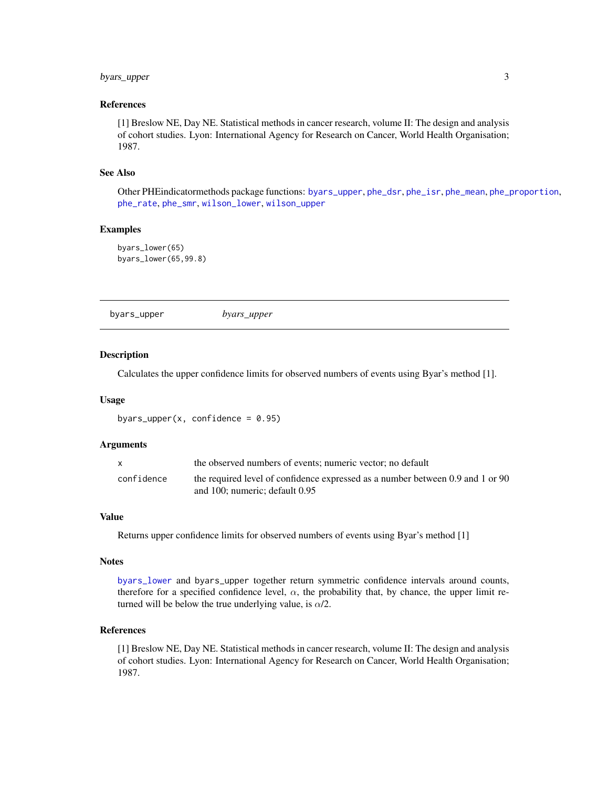# <span id="page-2-0"></span>byars\_upper 3

#### References

[1] Breslow NE, Day NE. Statistical methods in cancer research, volume II: The design and analysis of cohort studies. Lyon: International Agency for Research on Cancer, World Health Organisation; 1987.

#### See Also

Other PHEindicatormethods package functions: [byars\\_upper](#page-2-1), [phe\\_dsr](#page-4-1), [phe\\_isr](#page-6-1), [phe\\_mean](#page-8-1), [phe\\_proportion](#page-9-1), [phe\\_rate](#page-10-1), [phe\\_smr](#page-11-1), [wilson\\_lower](#page-13-1), [wilson\\_upper](#page-14-1)

#### Examples

```
byars_lower(65)
byars_lower(65,99.8)
```
<span id="page-2-1"></span>byars\_upper *byars\_upper*

#### **Description**

Calculates the upper confidence limits for observed numbers of events using Byar's method [1].

#### Usage

byars\_upper(x, confidence =  $0.95$ )

#### Arguments

|            | the observed numbers of events; numeric vector; no default                                                            |
|------------|-----------------------------------------------------------------------------------------------------------------------|
| confidence | the required level of confidence expressed as a number between 0.9 and 1 or 90<br>and $100$ ; numeric; default $0.95$ |

#### Value

Returns upper confidence limits for observed numbers of events using Byar's method [1]

#### **Notes**

[byars\\_lower](#page-1-1) and byars\_upper together return symmetric confidence intervals around counts, therefore for a specified confidence level,  $\alpha$ , the probability that, by chance, the upper limit returned will be below the true underlying value, is  $\alpha/2$ .

### References

[1] Breslow NE, Day NE. Statistical methods in cancer research, volume II: The design and analysis of cohort studies. Lyon: International Agency for Research on Cancer, World Health Organisation; 1987.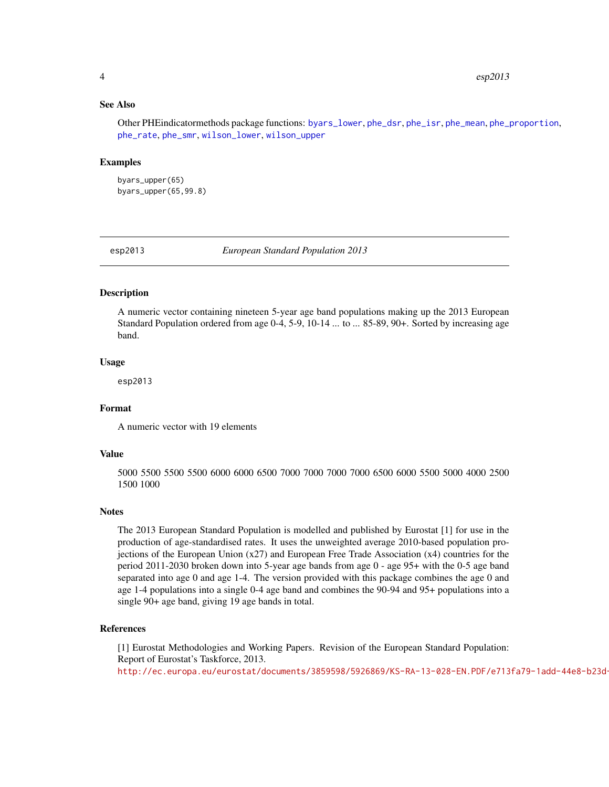#### <span id="page-3-0"></span>See Also

Other PHEindicatormethods package functions: [byars\\_lower](#page-1-1), [phe\\_dsr](#page-4-1), [phe\\_isr](#page-6-1), [phe\\_mean](#page-8-1), [phe\\_proportion](#page-9-1), [phe\\_rate](#page-10-1), [phe\\_smr](#page-11-1), [wilson\\_lower](#page-13-1), [wilson\\_upper](#page-14-1)

#### Examples

byars\_upper(65) byars\_upper(65,99.8)

esp2013 *European Standard Population 2013*

#### Description

A numeric vector containing nineteen 5-year age band populations making up the 2013 European Standard Population ordered from age 0-4, 5-9, 10-14 ... to ... 85-89, 90+. Sorted by increasing age band.

#### Usage

esp2013

#### Format

A numeric vector with 19 elements

#### Value

5000 5500 5500 5500 6000 6000 6500 7000 7000 7000 7000 6500 6000 5500 5000 4000 2500 1500 1000

#### Notes

The 2013 European Standard Population is modelled and published by Eurostat [1] for use in the production of age-standardised rates. It uses the unweighted average 2010-based population projections of the European Union (x27) and European Free Trade Association (x4) countries for the period 2011-2030 broken down into 5-year age bands from age 0 - age 95+ with the 0-5 age band separated into age 0 and age 1-4. The version provided with this package combines the age 0 and age 1-4 populations into a single 0-4 age band and combines the 90-94 and 95+ populations into a single 90+ age band, giving 19 age bands in total.

#### References

[1] Eurostat Methodologies and Working Papers. Revision of the European Standard Population: Report of Eurostat's Taskforce, 2013. http://ec.europa.eu/eurostat/documents/3859598/5926869/KS-RA-13-028-EN.PDF/e713fa79-1add-44e8-b23d-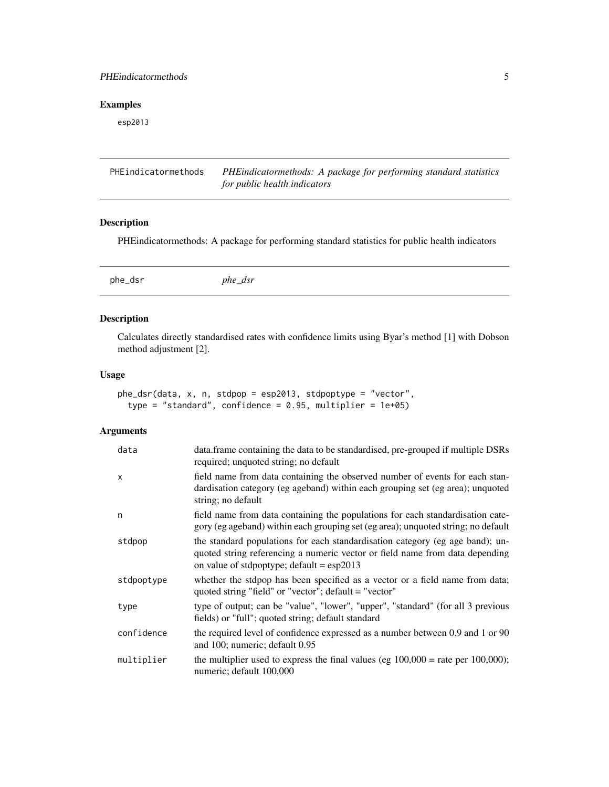# <span id="page-4-0"></span>PHEindicatormethods 5

# Examples

esp2013

| PHEindicatormethods | PHEindicatormethods: A package for performing standard statistics |
|---------------------|-------------------------------------------------------------------|
|                     | for public health indicators                                      |

# Description

PHEindicatormethods: A package for performing standard statistics for public health indicators

<span id="page-4-1"></span>phe\_dsr *phe\_dsr*

# Description

Calculates directly standardised rates with confidence limits using Byar's method [1] with Dobson method adjustment [2].

#### Usage

```
phe_dsr(data, x, n, stdpop = esp2013, stdpoptype = "vector",
  type = "standard", confidence = 0.95, multiplier = 1e+05)
```
# Arguments

| data         | data. frame containing the data to be standardised, pre-grouped if multiple DSRs<br>required; unquoted string; no default                                                                                       |
|--------------|-----------------------------------------------------------------------------------------------------------------------------------------------------------------------------------------------------------------|
| $\mathsf{x}$ | field name from data containing the observed number of events for each stan-<br>dardisation category (eg ageband) within each grouping set (eg area); unquoted<br>string; no default                            |
| n            | field name from data containing the populations for each standardisation cate-<br>gory (eg ageband) within each grouping set (eg area); unquoted string; no default                                             |
| stdpop       | the standard populations for each standardisation category (eg age band); un-<br>quoted string referencing a numeric vector or field name from data depending<br>on value of stdpoptype; default = $\exp(2013)$ |
| stdpoptype   | whether the stdpop has been specified as a vector or a field name from data;<br>quoted string "field" or "vector"; default = "vector"                                                                           |
| type         | type of output; can be "value", "lower", "upper", "standard" (for all 3 previous<br>fields) or "full"; quoted string; default standard                                                                          |
| confidence   | the required level of confidence expressed as a number between 0.9 and 1 or 90<br>and 100; numeric; default 0.95                                                                                                |
| multiplier   | the multiplier used to express the final values (eg $100,000 =$ rate per $100,000$ );<br>numeric; default 100,000                                                                                               |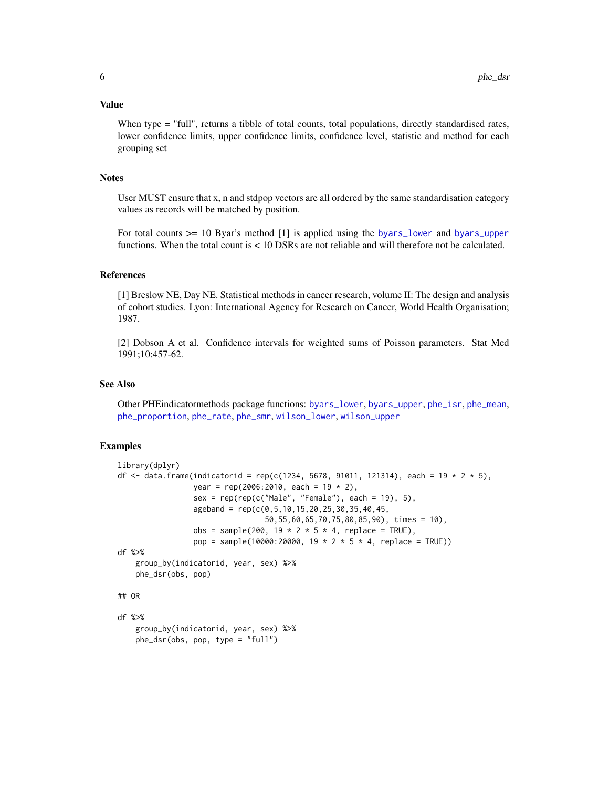#### <span id="page-5-0"></span>Value

When type = "full", returns a tibble of total counts, total populations, directly standardised rates, lower confidence limits, upper confidence limits, confidence level, statistic and method for each grouping set

#### **Notes**

User MUST ensure that x, n and stdpop vectors are all ordered by the same standardisation category values as records will be matched by position.

For total counts >= 10 Byar's method [1] is applied using the [byars\\_lower](#page-1-1) and [byars\\_upper](#page-2-1) functions. When the total count is < 10 DSRs are not reliable and will therefore not be calculated.

#### References

[1] Breslow NE, Day NE. Statistical methods in cancer research, volume II: The design and analysis of cohort studies. Lyon: International Agency for Research on Cancer, World Health Organisation; 1987.

[2] Dobson A et al. Confidence intervals for weighted sums of Poisson parameters. Stat Med 1991;10:457-62.

# See Also

Other PHEindicatormethods package functions: [byars\\_lower](#page-1-1), [byars\\_upper](#page-2-1), [phe\\_isr](#page-6-1), [phe\\_mean](#page-8-1), [phe\\_proportion](#page-9-1), [phe\\_rate](#page-10-1), [phe\\_smr](#page-11-1), [wilson\\_lower](#page-13-1), [wilson\\_upper](#page-14-1)

```
library(dplyr)
df <- data.frame(indicatorid = rep(c(1234, 5678, 91011, 121314), each = 19 * 2 * 5),
                 year = rep(2006:2010, each = 19 * 2),
                 sex = rep(rep(c("Male", "Female"), each = 19), 5),ageband = rep(c(0, 5, 10, 15, 20, 25, 30, 35, 40, 45,50,55,60,65,70,75,80,85,90), times = 10),
                 obs = sample(200, 19 * 2 * 5 * 4, replace = TRUE),
                 pop = sample(10000:20000, 19 * 2 * 5 * 4, replace = TRUE))
df %>%
   group_by(indicatorid, year, sex) %>%
   phe_dsr(obs, pop)
## OR
df %>%
    group_by(indicatorid, year, sex) %>%
   phe_dsr(obs, pop, type = "full")
```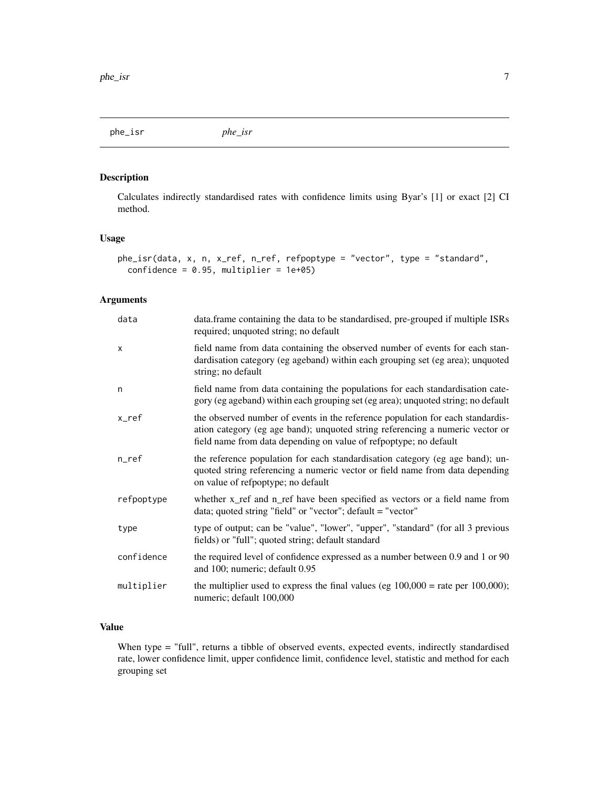<span id="page-6-1"></span><span id="page-6-0"></span>phe\_isr *phe\_isr*

# Description

Calculates indirectly standardised rates with confidence limits using Byar's [1] or exact [2] CI method.

# Usage

```
phe_isr(data, x, n, x_ref, n_ref, refpoptype = "vector", type = "standard",
  confidence = 0.95, multiplier = 1e+05)
```
#### Arguments

| data       | data. frame containing the data to be standardised, pre-grouped if multiple ISRs<br>required; unquoted string; no default                                                                                                            |
|------------|--------------------------------------------------------------------------------------------------------------------------------------------------------------------------------------------------------------------------------------|
| $\times$   | field name from data containing the observed number of events for each stan-<br>dardisation category (eg ageband) within each grouping set (eg area); unquoted<br>string; no default                                                 |
| n          | field name from data containing the populations for each standardisation cate-<br>gory (eg ageband) within each grouping set (eg area); unquoted string; no default                                                                  |
| x_ref      | the observed number of events in the reference population for each standardis-<br>ation category (eg age band); unquoted string referencing a numeric vector or<br>field name from data depending on value of refpoptype; no default |
| $n_{ref}$  | the reference population for each standardisation category (eg age band); un-<br>quoted string referencing a numeric vector or field name from data depending<br>on value of refpoptype; no default                                  |
| refpoptype | whether x_ref and n_ref have been specified as vectors or a field name from<br>data; quoted string "field" or "vector"; default $=$ "vector"                                                                                         |
| type       | type of output; can be "value", "lower", "upper", "standard" (for all 3 previous<br>fields) or "full"; quoted string; default standard                                                                                               |
| confidence | the required level of confidence expressed as a number between 0.9 and 1 or 90<br>and 100; numeric; default 0.95                                                                                                                     |
| multiplier | the multiplier used to express the final values (eg $100,000 =$ rate per $100,000$ );<br>numeric; default 100,000                                                                                                                    |

# Value

When type = "full", returns a tibble of observed events, expected events, indirectly standardised rate, lower confidence limit, upper confidence limit, confidence level, statistic and method for each grouping set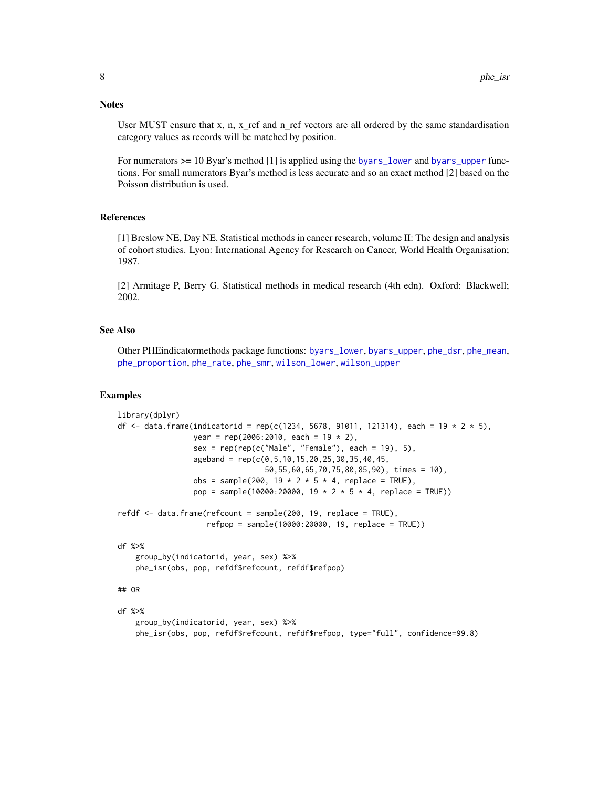#### <span id="page-7-0"></span>**Notes**

User MUST ensure that x, n, x\_ref and n\_ref vectors are all ordered by the same standardisation category values as records will be matched by position.

For numerators  $\ge$  = 10 Byar's method [1] is applied using the [byars\\_lower](#page-1-1) and [byars\\_upper](#page-2-1) functions. For small numerators Byar's method is less accurate and so an exact method [2] based on the Poisson distribution is used.

#### References

[1] Breslow NE, Day NE. Statistical methods in cancer research, volume II: The design and analysis of cohort studies. Lyon: International Agency for Research on Cancer, World Health Organisation; 1987.

[2] Armitage P, Berry G. Statistical methods in medical research (4th edn). Oxford: Blackwell; 2002.

#### See Also

Other PHEindicatormethods package functions: [byars\\_lower](#page-1-1), [byars\\_upper](#page-2-1), [phe\\_dsr](#page-4-1), [phe\\_mean](#page-8-1), [phe\\_proportion](#page-9-1), [phe\\_rate](#page-10-1), [phe\\_smr](#page-11-1), [wilson\\_lower](#page-13-1), [wilson\\_upper](#page-14-1)

```
library(dplyr)
df <- data.frame(indicatorid = rep(c(1234, 5678, 91011, 121314), each = 19 * 2 * 5),
                 year = rep(2006:2010, each = 19 * 2),
                 sex = rep(rep(c("Male", "Female"), each = 19), 5),ageband = rep(c(0, 5, 10, 15, 20, 25, 30, 35, 40, 45,50,55,60,65,70,75,80,85,90), times = 10),
                 obs = sample(200, 19 * 2 * 5 * 4, replace = TRUE),
                 pop = sample(10000:20000, 19 * 2 * 5 * 4, replace = TRUE))
refdf <- data.frame(refcount = sample(200, 19, replace = TRUE),
                    refpop = sample(10000:20000, 19, replace = TRUE))
df %>%
    group_by(indicatorid, year, sex) %>%
   phe_isr(obs, pop, refdf$refcount, refdf$refpop)
## OR
df %>%
    group_by(indicatorid, year, sex) %>%
   phe_isr(obs, pop, refdf$refcount, refdf$refpop, type="full", confidence=99.8)
```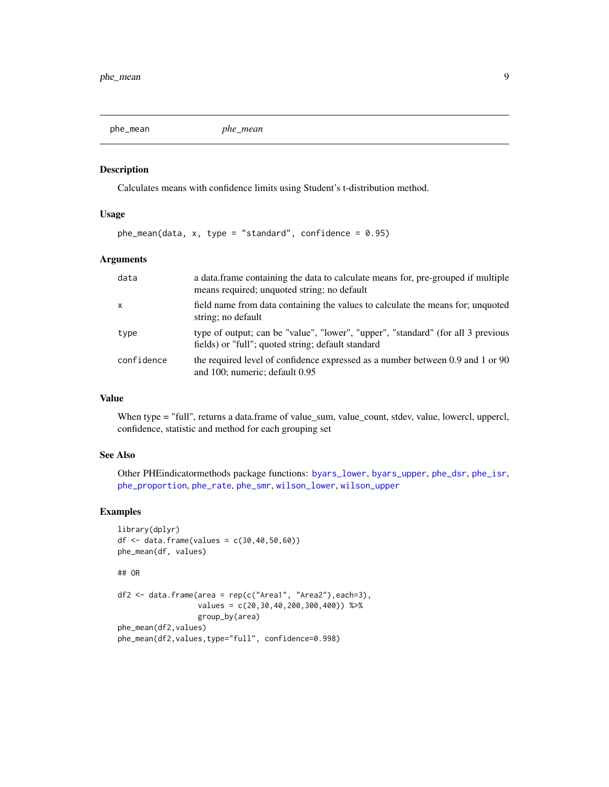<span id="page-8-1"></span><span id="page-8-0"></span>

# Description

Calculates means with confidence limits using Student's t-distribution method.

#### Usage

 $ph$ e\_mean(data, x, type = "standard", confidence = 0.95)

#### Arguments

| data         | a data frame containing the data to calculate means for, pre-grouped if multiple<br>means required; unquoted string; no default        |
|--------------|----------------------------------------------------------------------------------------------------------------------------------------|
| $\mathsf{x}$ | field name from data containing the values to calculate the means for; unquoted<br>string; no default                                  |
| type         | type of output; can be "value", "lower", "upper", "standard" (for all 3 previous<br>fields) or "full"; quoted string; default standard |
| confidence   | the required level of confidence expressed as a number between 0.9 and 1 or 90<br>and 100; numeric; default 0.95                       |

## Value

When type = "full", returns a data.frame of value\_sum, value\_count, stdev, value, lowercl, uppercl, confidence, statistic and method for each grouping set

# See Also

Other PHEindicatormethods package functions: [byars\\_lower](#page-1-1), [byars\\_upper](#page-2-1), [phe\\_dsr](#page-4-1), [phe\\_isr](#page-6-1), [phe\\_proportion](#page-9-1), [phe\\_rate](#page-10-1), [phe\\_smr](#page-11-1), [wilson\\_lower](#page-13-1), [wilson\\_upper](#page-14-1)

```
library(dplyr)
df <- data.frame(values = c(30, 40, 50, 60))
phe_mean(df, values)
## OR
df2 <- data.frame(area = rep(c("Area1", "Area2"),each=3),
                  values = c(20,30,40,200,300,400)) %>%
                  group_by(area)
phe_mean(df2,values)
phe_mean(df2,values,type="full", confidence=0.998)
```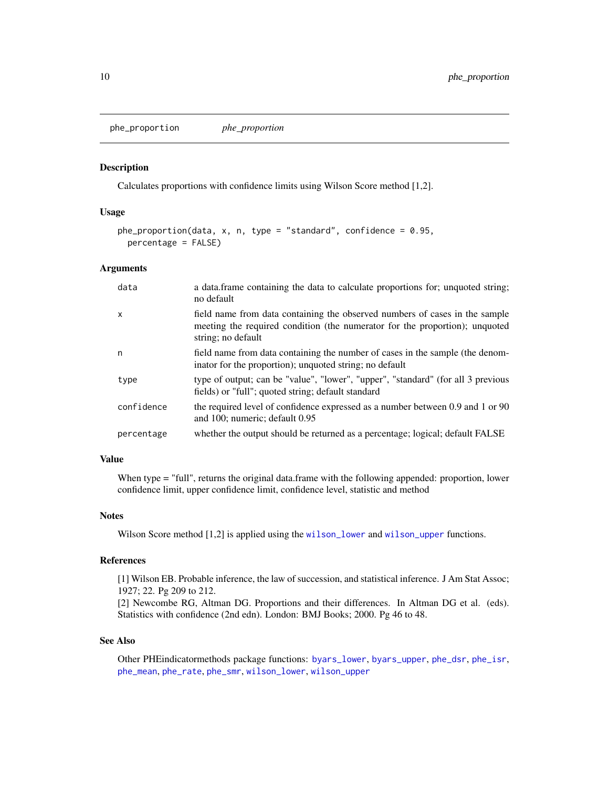<span id="page-9-1"></span><span id="page-9-0"></span>phe\_proportion *phe\_proportion*

#### Description

Calculates proportions with confidence limits using Wilson Score method [1,2].

#### Usage

```
phe_proportion(data, x, n, type = "standard", confidence = 0.95,
 percentage = FALSE)
```
# Arguments

| data                      | a data.frame containing the data to calculate proportions for; unquoted string;<br>no default                                                                                    |
|---------------------------|----------------------------------------------------------------------------------------------------------------------------------------------------------------------------------|
| $\boldsymbol{\mathsf{x}}$ | field name from data containing the observed numbers of cases in the sample<br>meeting the required condition (the numerator for the proportion); unquoted<br>string; no default |
| n                         | field name from data containing the number of cases in the sample (the denom-<br>inator for the proportion); unquoted string; no default                                         |
| type                      | type of output; can be "value", "lower", "upper", "standard" (for all 3 previous<br>fields) or "full"; quoted string; default standard                                           |
| confidence                | the required level of confidence expressed as a number between 0.9 and 1 or 90<br>and 100; numeric; default 0.95                                                                 |
| percentage                | whether the output should be returned as a percentage; logical; default FALSE                                                                                                    |

# Value

When type = "full", returns the original data.frame with the following appended: proportion, lower confidence limit, upper confidence limit, confidence level, statistic and method

#### Notes

Wilson Score method [1,2] is applied using the [wilson\\_lower](#page-13-1) and [wilson\\_upper](#page-14-1) functions.

#### References

[1] Wilson EB. Probable inference, the law of succession, and statistical inference. J Am Stat Assoc; 1927; 22. Pg 209 to 212.

[2] Newcombe RG, Altman DG. Proportions and their differences. In Altman DG et al. (eds). Statistics with confidence (2nd edn). London: BMJ Books; 2000. Pg 46 to 48.

# See Also

Other PHEindicatormethods package functions: [byars\\_lower](#page-1-1), [byars\\_upper](#page-2-1), [phe\\_dsr](#page-4-1), [phe\\_isr](#page-6-1), [phe\\_mean](#page-8-1), [phe\\_rate](#page-10-1), [phe\\_smr](#page-11-1), [wilson\\_lower](#page-13-1), [wilson\\_upper](#page-14-1)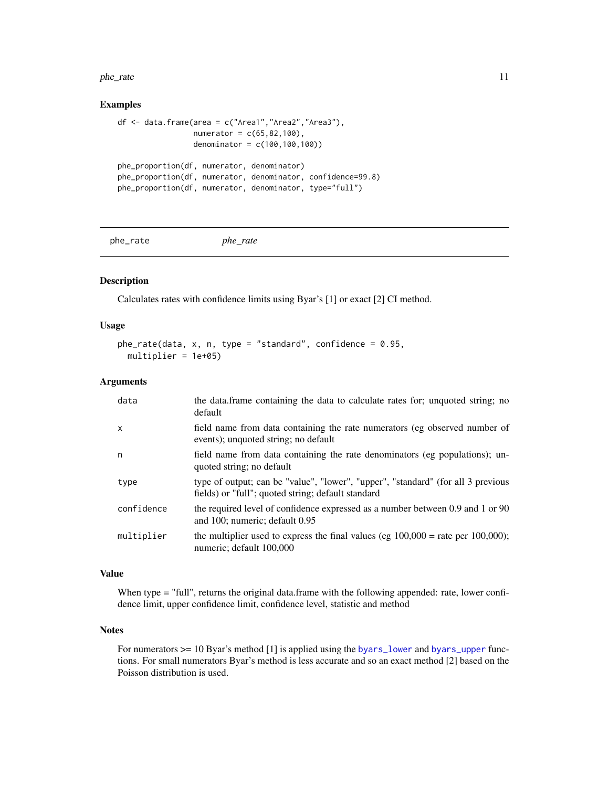#### <span id="page-10-0"></span>phe\_rate 11

#### Examples

```
df <- data.frame(area = c("Area1","Area2","Area3"),
                 numerator = c(65, 82, 100),
                 denominator = c(100,100,100))
phe_proportion(df, numerator, denominator)
phe_proportion(df, numerator, denominator, confidence=99.8)
phe_proportion(df, numerator, denominator, type="full")
```
<span id="page-10-1"></span>phe\_rate *phe\_rate*

#### Description

Calculates rates with confidence limits using Byar's [1] or exact [2] CI method.

#### Usage

```
phe_rate(data, x, n, type = "standard", confidence = 0.95,multiplier = 1e+05)
```
# Arguments

| data       | the data frame containing the data to calculate rates for; unquoted string; no<br>default                                              |
|------------|----------------------------------------------------------------------------------------------------------------------------------------|
| X          | field name from data containing the rate numerators (eg observed number of<br>events); unquoted string; no default                     |
| n          | field name from data containing the rate denominators (eg populations); un-<br>quoted string; no default                               |
| type       | type of output; can be "value", "lower", "upper", "standard" (for all 3 previous<br>fields) or "full"; quoted string; default standard |
| confidence | the required level of confidence expressed as a number between 0.9 and 1 or 90<br>and 100; numeric; default 0.95                       |
| multiplier | the multiplier used to express the final values (eg $100,000 =$ rate per $100,000$ );<br>numeric; default 100,000                      |

# Value

When type = "full", returns the original data.frame with the following appended: rate, lower confidence limit, upper confidence limit, confidence level, statistic and method

### **Notes**

For numerators  $>= 10$  Byar's method [1] is applied using the [byars\\_lower](#page-1-1) and [byars\\_upper](#page-2-1) functions. For small numerators Byar's method is less accurate and so an exact method [2] based on the Poisson distribution is used.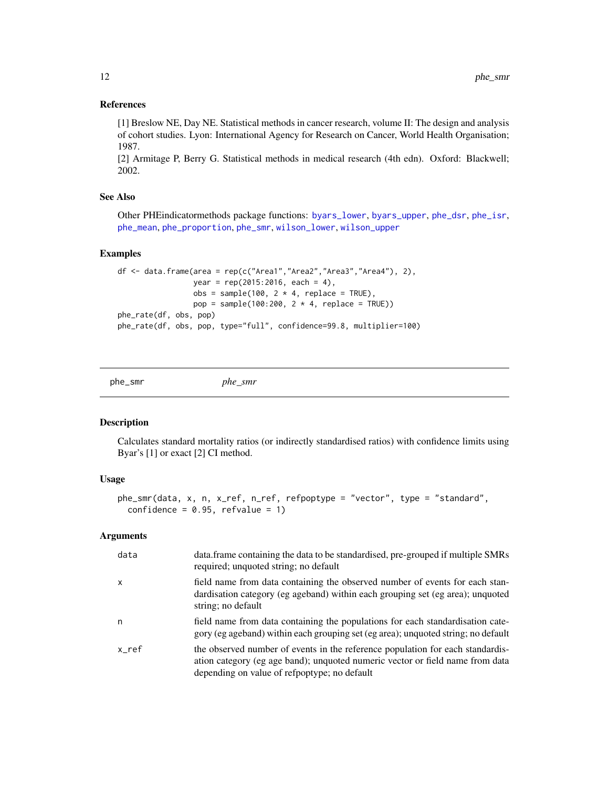#### <span id="page-11-0"></span>References

[1] Breslow NE, Day NE. Statistical methods in cancer research, volume II: The design and analysis of cohort studies. Lyon: International Agency for Research on Cancer, World Health Organisation; 1987.

[2] Armitage P, Berry G. Statistical methods in medical research (4th edn). Oxford: Blackwell; 2002.

# See Also

Other PHEindicatormethods package functions: [byars\\_lower](#page-1-1), [byars\\_upper](#page-2-1), [phe\\_dsr](#page-4-1), [phe\\_isr](#page-6-1), [phe\\_mean](#page-8-1), [phe\\_proportion](#page-9-1), [phe\\_smr](#page-11-1), [wilson\\_lower](#page-13-1), [wilson\\_upper](#page-14-1)

#### Examples

```
df <- data.frame(area = rep(c("Area1","Area2","Area3","Area4"), 2),
                 year = rep(2015:2016, each = 4),
                 obs = sample(100, 2 * 4, replace = TRUE),pop = sample(100:200, 2 * 4, replace = TRUE))phe_rate(df, obs, pop)
phe_rate(df, obs, pop, type="full", confidence=99.8, multiplier=100)
```
<span id="page-11-1"></span>

phe\_smr *phe\_smr*

#### Description

Calculates standard mortality ratios (or indirectly standardised ratios) with confidence limits using Byar's [1] or exact [2] CI method.

#### Usage

```
phe_smr(data, x, n, x_ref, n_ref, refpoptype = "vector", type = "standard",
 confidence = 0.95, refvalue = 1)
```
#### Arguments

| data         | data. frame containing the data to be standardised, pre-grouped if multiple SMRs<br>required; unquoted string; no default                                                                                       |
|--------------|-----------------------------------------------------------------------------------------------------------------------------------------------------------------------------------------------------------------|
| $\mathsf{x}$ | field name from data containing the observed number of events for each stan-<br>dardisation category (eg ageband) within each grouping set (eg area); unquoted<br>string; no default                            |
| n            | field name from data containing the populations for each standardisation cate-<br>gory (eg ageband) within each grouping set (eg area); unquoted string; no default                                             |
| $x_ref$      | the observed number of events in the reference population for each standardis-<br>ation category (eg age band); unquoted numeric vector or field name from data<br>depending on value of refpoptype; no default |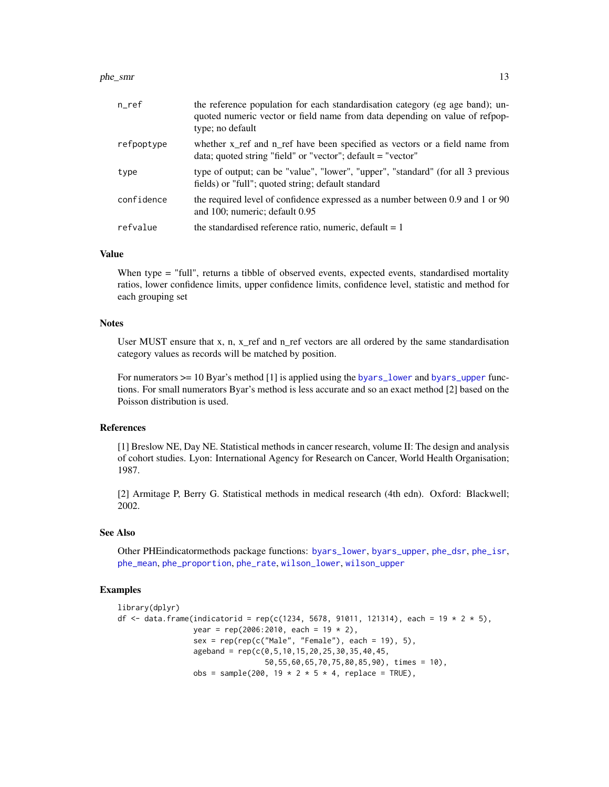#### <span id="page-12-0"></span>phe\_smr 13

| $n$ _ref   | the reference population for each standardisation category (eg age band); un-<br>quoted numeric vector or field name from data depending on value of refpop-<br>type; no default |
|------------|----------------------------------------------------------------------------------------------------------------------------------------------------------------------------------|
| refpoptype | whether x ref and n ref have been specified as vectors or a field name from<br>data; quoted string "field" or "vector"; $default = "vector"$                                     |
| type       | type of output; can be "value", "lower", "upper", "standard" (for all 3 previous<br>fields) or "full"; quoted string; default standard                                           |
| confidence | the required level of confidence expressed as a number between 0.9 and 1 or 90<br>and 100; numeric; default 0.95                                                                 |
| refvalue   | the standardised reference ratio, numeric, default $= 1$                                                                                                                         |

#### Value

When type = "full", returns a tibble of observed events, expected events, standardised mortality ratios, lower confidence limits, upper confidence limits, confidence level, statistic and method for each grouping set

### **Notes**

User MUST ensure that x, n, x\_ref and n\_ref vectors are all ordered by the same standardisation category values as records will be matched by position.

For numerators  $\ge$  = 10 Byar's method [1] is applied using the [byars\\_lower](#page-1-1) and [byars\\_upper](#page-2-1) functions. For small numerators Byar's method is less accurate and so an exact method [2] based on the Poisson distribution is used.

# References

[1] Breslow NE, Day NE. Statistical methods in cancer research, volume II: The design and analysis of cohort studies. Lyon: International Agency for Research on Cancer, World Health Organisation; 1987.

[2] Armitage P, Berry G. Statistical methods in medical research (4th edn). Oxford: Blackwell; 2002.

#### See Also

Other PHEindicatormethods package functions: [byars\\_lower](#page-1-1), [byars\\_upper](#page-2-1), [phe\\_dsr](#page-4-1), [phe\\_isr](#page-6-1), [phe\\_mean](#page-8-1), [phe\\_proportion](#page-9-1), [phe\\_rate](#page-10-1), [wilson\\_lower](#page-13-1), [wilson\\_upper](#page-14-1)

```
library(dplyr)
df <- data.frame(indicatorid = rep(c(1234, 5678, 91011, 121314), each = 19 * 2 * 5),
                 year = rep(2006:2010, each = 19 * 2),
                 sex = rep(rep(c("Male", "Female"), each = 19), 5),ageband = rep(c(\emptyset, 5, 10, 15, 20, 25, 30, 35, 40, 45,50,55,60,65,70,75,80,85,90), times = 10),
                 obs = sample(200, 19 * 2 * 5 * 4, replace = TRUE),
```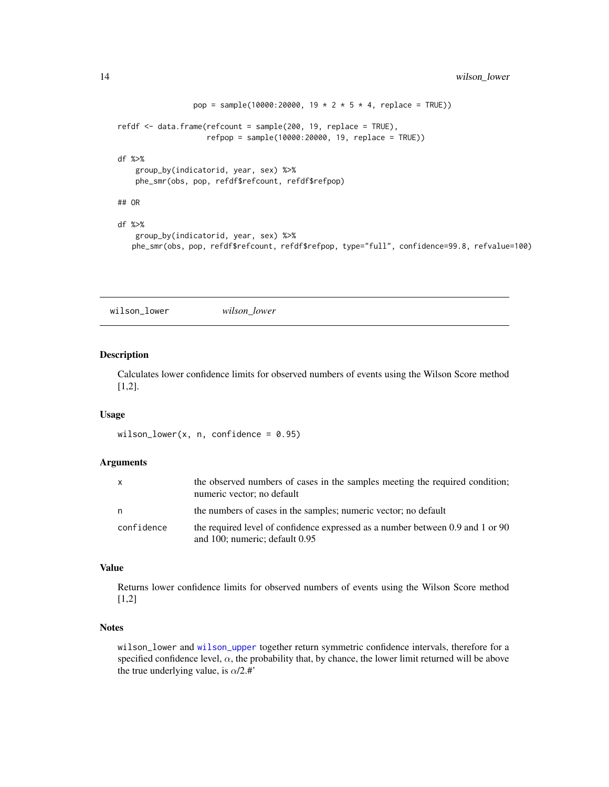```
pop = sample(10000:20000, 19 * 2 * 5 * 4, replace = TRUE))
refdf <- data.frame(refcount = sample(200, 19, replace = TRUE),
                    refpop = sample(10000:20000, 19, replace = TRUE))
df %>%
   group_by(indicatorid, year, sex) %>%
   phe_smr(obs, pop, refdf$refcount, refdf$refpop)
## OR
df %>%
   group_by(indicatorid, year, sex) %>%
   phe_smr(obs, pop, refdf$refcount, refdf$refpop, type="full", confidence=99.8, refvalue=100)
```
<span id="page-13-1"></span>wilson\_lower *wilson\_lower*

# Description

Calculates lower confidence limits for observed numbers of events using the Wilson Score method [1,2].

#### Usage

```
wilson_lower(x, n, confidence = 0.95)
```
#### Arguments

| $\mathsf{x}$ | the observed numbers of cases in the samples meeting the required condition;<br>numeric vector; no default       |
|--------------|------------------------------------------------------------------------------------------------------------------|
| n            | the numbers of cases in the samples; numeric vector; no default                                                  |
| confidence   | the required level of confidence expressed as a number between 0.9 and 1 or 90<br>and 100; numeric; default 0.95 |

### Value

Returns lower confidence limits for observed numbers of events using the Wilson Score method [1,2]

#### **Notes**

wilson\_lower and [wilson\\_upper](#page-14-1) together return symmetric confidence intervals, therefore for a specified confidence level,  $\alpha$ , the probability that, by chance, the lower limit returned will be above the true underlying value, is  $\alpha/2.$ #'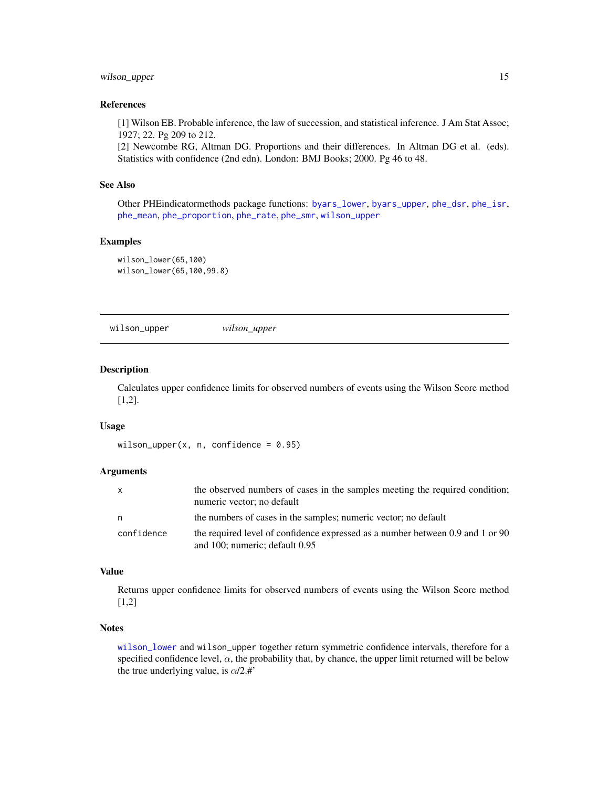# <span id="page-14-0"></span>wilson\_upper 15

#### References

[1] Wilson EB. Probable inference, the law of succession, and statistical inference. J Am Stat Assoc; 1927; 22. Pg 209 to 212.

[2] Newcombe RG, Altman DG. Proportions and their differences. In Altman DG et al. (eds). Statistics with confidence (2nd edn). London: BMJ Books; 2000. Pg 46 to 48.

# See Also

Other PHEindicatormethods package functions: [byars\\_lower](#page-1-1), [byars\\_upper](#page-2-1), [phe\\_dsr](#page-4-1), [phe\\_isr](#page-6-1), [phe\\_mean](#page-8-1), [phe\\_proportion](#page-9-1), [phe\\_rate](#page-10-1), [phe\\_smr](#page-11-1), [wilson\\_upper](#page-14-1)

# Examples

wilson\_lower(65,100) wilson\_lower(65,100,99.8)

<span id="page-14-1"></span>wilson\_upper *wilson\_upper*

#### Description

Calculates upper confidence limits for observed numbers of events using the Wilson Score method [1,2].

#### Usage

wilson\_upper(x, n, confidence =  $0.95$ )

#### Arguments

| X.         | the observed numbers of cases in the samples meeting the required condition;<br>numeric vector; no default       |
|------------|------------------------------------------------------------------------------------------------------------------|
| n          | the numbers of cases in the samples; numeric vector; no default                                                  |
| confidence | the required level of confidence expressed as a number between 0.9 and 1 or 90<br>and 100; numeric; default 0.95 |

#### Value

Returns upper confidence limits for observed numbers of events using the Wilson Score method [1,2]

#### **Notes**

[wilson\\_lower](#page-13-1) and wilson\_upper together return symmetric confidence intervals, therefore for a specified confidence level,  $\alpha$ , the probability that, by chance, the upper limit returned will be below the true underlying value, is  $\alpha/2.$ #'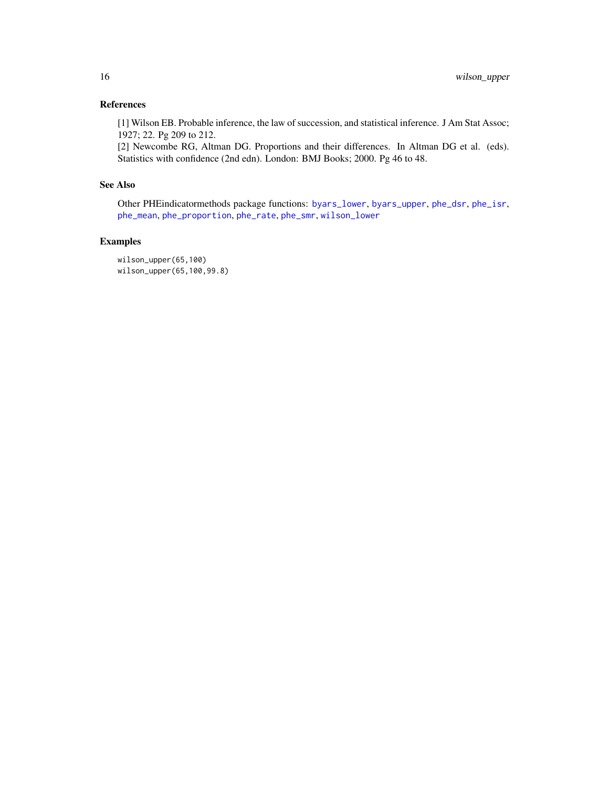# <span id="page-15-0"></span>References

[1] Wilson EB. Probable inference, the law of succession, and statistical inference. J Am Stat Assoc; 1927; 22. Pg 209 to 212.

[2] Newcombe RG, Altman DG. Proportions and their differences. In Altman DG et al. (eds). Statistics with confidence (2nd edn). London: BMJ Books; 2000. Pg 46 to 48.

# See Also

Other PHEindicatormethods package functions: [byars\\_lower](#page-1-1), [byars\\_upper](#page-2-1), [phe\\_dsr](#page-4-1), [phe\\_isr](#page-6-1), [phe\\_mean](#page-8-1), [phe\\_proportion](#page-9-1), [phe\\_rate](#page-10-1), [phe\\_smr](#page-11-1), [wilson\\_lower](#page-13-1)

# Examples

wilson\_upper(65,100) wilson\_upper(65,100,99.8)